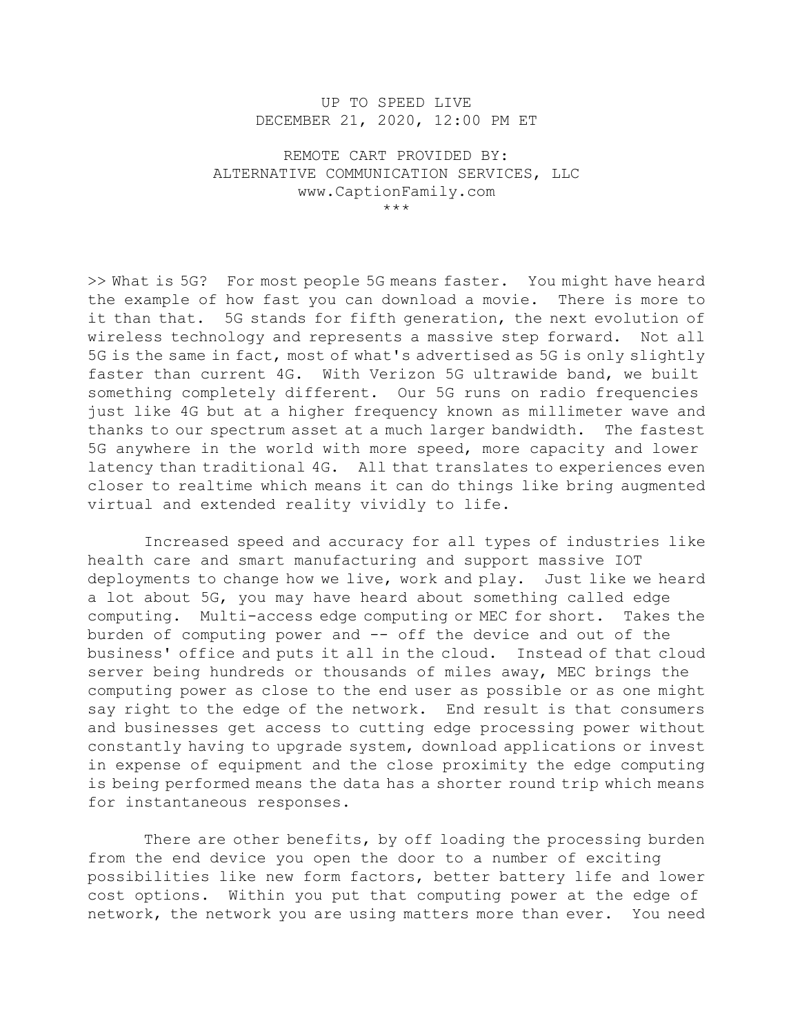## UP TO SPEED LIVE DECEMBER 21, 2020, 12:00 PM ET

REMOTE CART PROVIDED BY: ALTERNATIVE COMMUNICATION SERVICES, LLC www.CaptionFamily.com \*\*\*

>> What is 5G? For most people 5G means faster. You might have heard the example of how fast you can download a movie. There is more to it than that. 5G stands for fifth generation, the next evolution of wireless technology and represents a massive step forward. Not all 5G is the same in fact, most of what's advertised as 5G is only slightly faster than current 4G. With Verizon 5G ultrawide band, we built something completely different. Our 5G runs on radio frequencies just like 4G but at a higher frequency known as millimeter wave and thanks to our spectrum asset at a much larger bandwidth. The fastest 5G anywhere in the world with more speed, more capacity and lower latency than traditional 4G. All that translates to experiences even closer to realtime which means it can do things like bring augmented virtual and extended reality vividly to life.

 Increased speed and accuracy for all types of industries like health care and smart manufacturing and support massive IOT deployments to change how we live, work and play. Just like we heard a lot about 5G, you may have heard about something called edge computing. Multi-access edge computing or MEC for short. Takes the burden of computing power and -- off the device and out of the business' office and puts it all in the cloud. Instead of that cloud server being hundreds or thousands of miles away, MEC brings the computing power as close to the end user as possible or as one might say right to the edge of the network. End result is that consumers and businesses get access to cutting edge processing power without constantly having to upgrade system, download applications or invest in expense of equipment and the close proximity the edge computing is being performed means the data has a shorter round trip which means for instantaneous responses.

There are other benefits, by off loading the processing burden from the end device you open the door to a number of exciting possibilities like new form factors, better battery life and lower cost options. Within you put that computing power at the edge of network, the network you are using matters more than ever. You need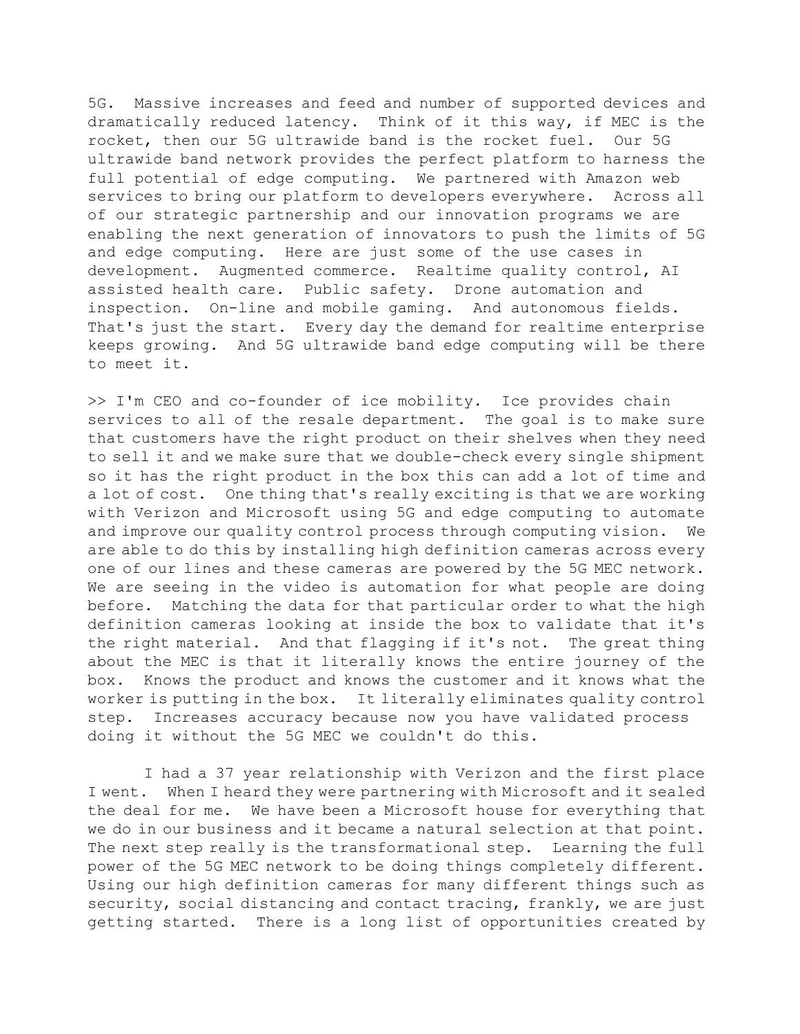5G. Massive increases and feed and number of supported devices and dramatically reduced latency. Think of it this way, if MEC is the rocket, then our 5G ultrawide band is the rocket fuel. Our 5G ultrawide band network provides the perfect platform to harness the full potential of edge computing. We partnered with Amazon web services to bring our platform to developers everywhere. Across all of our strategic partnership and our innovation programs we are enabling the next generation of innovators to push the limits of 5G and edge computing. Here are just some of the use cases in development. Augmented commerce. Realtime quality control, AI assisted health care. Public safety. Drone automation and inspection. On-line and mobile gaming. And autonomous fields. That's just the start. Every day the demand for realtime enterprise keeps growing. And 5G ultrawide band edge computing will be there to meet it.

>> I'm CEO and co-founder of ice mobility. Ice provides chain services to all of the resale department. The goal is to make sure that customers have the right product on their shelves when they need to sell it and we make sure that we double-check every single shipment so it has the right product in the box this can add a lot of time and a lot of cost. One thing that's really exciting is that we are working with Verizon and Microsoft using 5G and edge computing to automate and improve our quality control process through computing vision. We are able to do this by installing high definition cameras across every one of our lines and these cameras are powered by the 5G MEC network. We are seeing in the video is automation for what people are doing before. Matching the data for that particular order to what the high definition cameras looking at inside the box to validate that it's the right material. And that flagging if it's not. The great thing about the MEC is that it literally knows the entire journey of the box. Knows the product and knows the customer and it knows what the worker is putting in the box. It literally eliminates quality control step. Increases accuracy because now you have validated process doing it without the 5G MEC we couldn't do this.

 I had a 37 year relationship with Verizon and the first place I went. When I heard they were partnering with Microsoft and it sealed the deal for me. We have been a Microsoft house for everything that we do in our business and it became a natural selection at that point. The next step really is the transformational step. Learning the full power of the 5G MEC network to be doing things completely different. Using our high definition cameras for many different things such as security, social distancing and contact tracing, frankly, we are just getting started. There is a long list of opportunities created by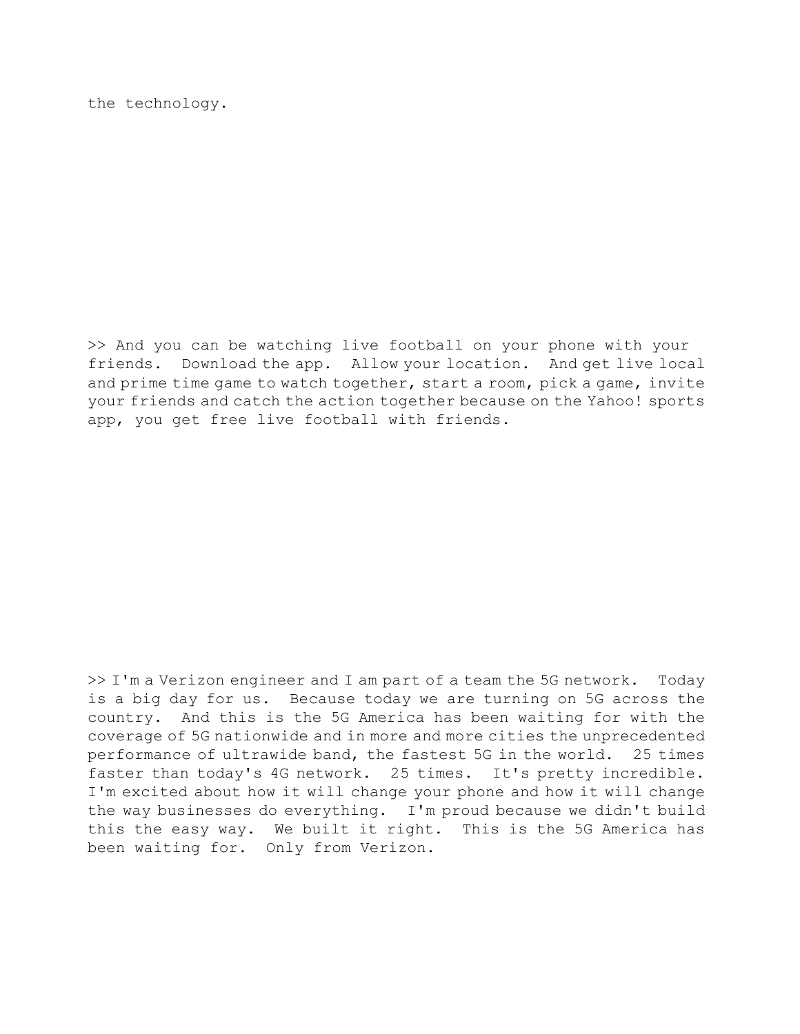the technology.

>> And you can be watching live football on your phone with your friends. Download the app. Allow your location. And get live local and prime time game to watch together, start a room, pick a game, invite your friends and catch the action together because on the Yahoo! sports app, you get free live football with friends.

>> I'm a Verizon engineer and I am part of a team the 5G network. Today is a big day for us. Because today we are turning on 5G across the country. And this is the 5G America has been waiting for with the coverage of 5G nationwide and in more and more cities the unprecedented performance of ultrawide band, the fastest 5G in the world. 25 times faster than today's 4G network. 25 times. It's pretty incredible. I'm excited about how it will change your phone and how it will change the way businesses do everything. I'm proud because we didn't build this the easy way. We built it right. This is the 5G America has been waiting for. Only from Verizon.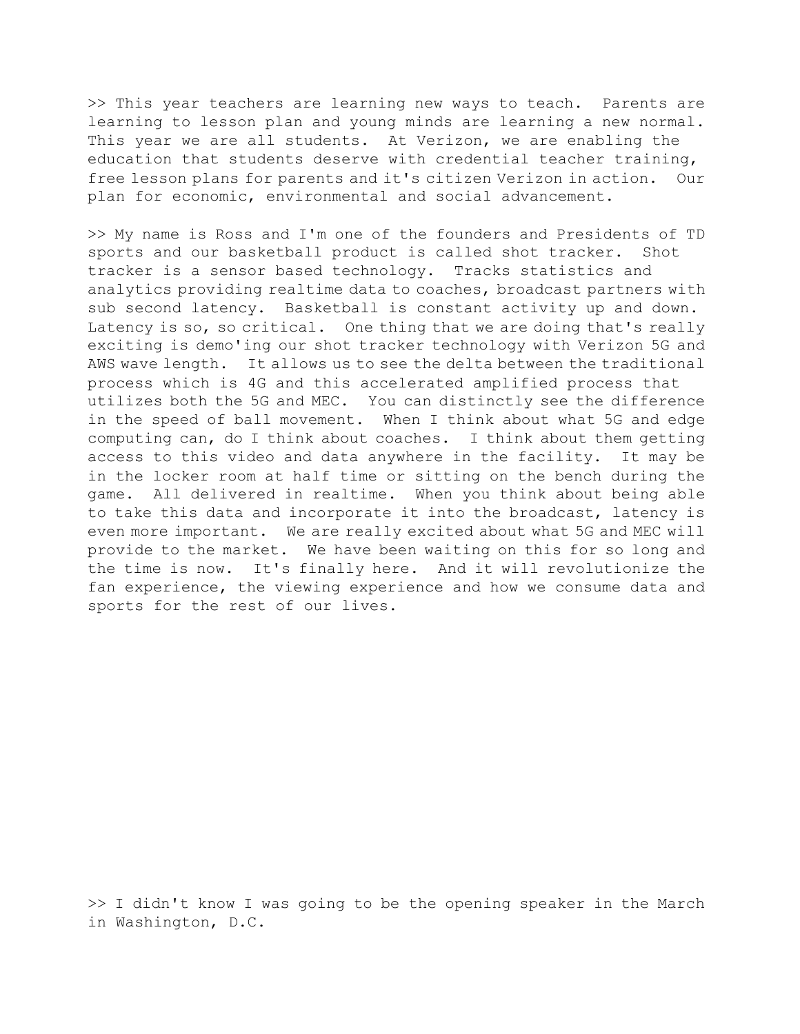>> This year teachers are learning new ways to teach. Parents are learning to lesson plan and young minds are learning a new normal. This year we are all students. At Verizon, we are enabling the education that students deserve with credential teacher training, free lesson plans for parents and it's citizen Verizon in action. Our plan for economic, environmental and social advancement.

>> My name is Ross and I'm one of the founders and Presidents of TD sports and our basketball product is called shot tracker. Shot tracker is a sensor based technology. Tracks statistics and analytics providing realtime data to coaches, broadcast partners with sub second latency. Basketball is constant activity up and down. Latency is so, so critical. One thing that we are doing that's really exciting is demo'ing our shot tracker technology with Verizon 5G and AWS wave length. It allows us to see the delta between the traditional process which is 4G and this accelerated amplified process that utilizes both the 5G and MEC. You can distinctly see the difference in the speed of ball movement. When I think about what 5G and edge computing can, do I think about coaches. I think about them getting access to this video and data anywhere in the facility. It may be in the locker room at half time or sitting on the bench during the game. All delivered in realtime. When you think about being able to take this data and incorporate it into the broadcast, latency is even more important. We are really excited about what 5G and MEC will provide to the market. We have been waiting on this for so long and the time is now. It's finally here. And it will revolutionize the fan experience, the viewing experience and how we consume data and sports for the rest of our lives.

>> I didn't know I was going to be the opening speaker in the March in Washington, D.C.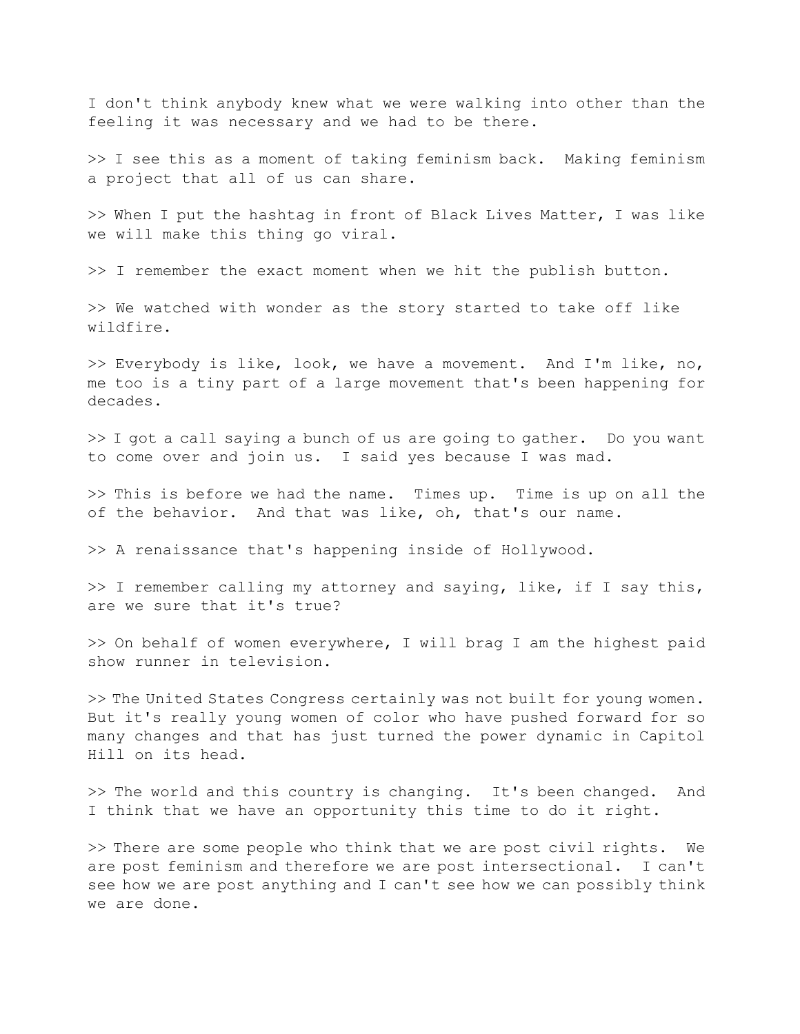I don't think anybody knew what we were walking into other than the feeling it was necessary and we had to be there.

>> I see this as a moment of taking feminism back. Making feminism a project that all of us can share.

>> When I put the hashtag in front of Black Lives Matter, I was like we will make this thing go viral.

>> I remember the exact moment when we hit the publish button.

>> We watched with wonder as the story started to take off like wildfire.

>> Everybody is like, look, we have a movement. And I'm like, no, me too is a tiny part of a large movement that's been happening for decades.

>> I got a call saying a bunch of us are going to gather. Do you want to come over and join us. I said yes because I was mad.

>> This is before we had the name. Times up. Time is up on all the of the behavior. And that was like, oh, that's our name.

>> A renaissance that's happening inside of Hollywood.

>> I remember calling my attorney and saying, like, if I say this, are we sure that it's true?

>> On behalf of women everywhere, I will brag I am the highest paid show runner in television.

>> The United States Congress certainly was not built for young women. But it's really young women of color who have pushed forward for so many changes and that has just turned the power dynamic in Capitol Hill on its head.

>> The world and this country is changing. It's been changed. And I think that we have an opportunity this time to do it right.

>> There are some people who think that we are post civil rights. We are post feminism and therefore we are post intersectional. I can't see how we are post anything and I can't see how we can possibly think we are done.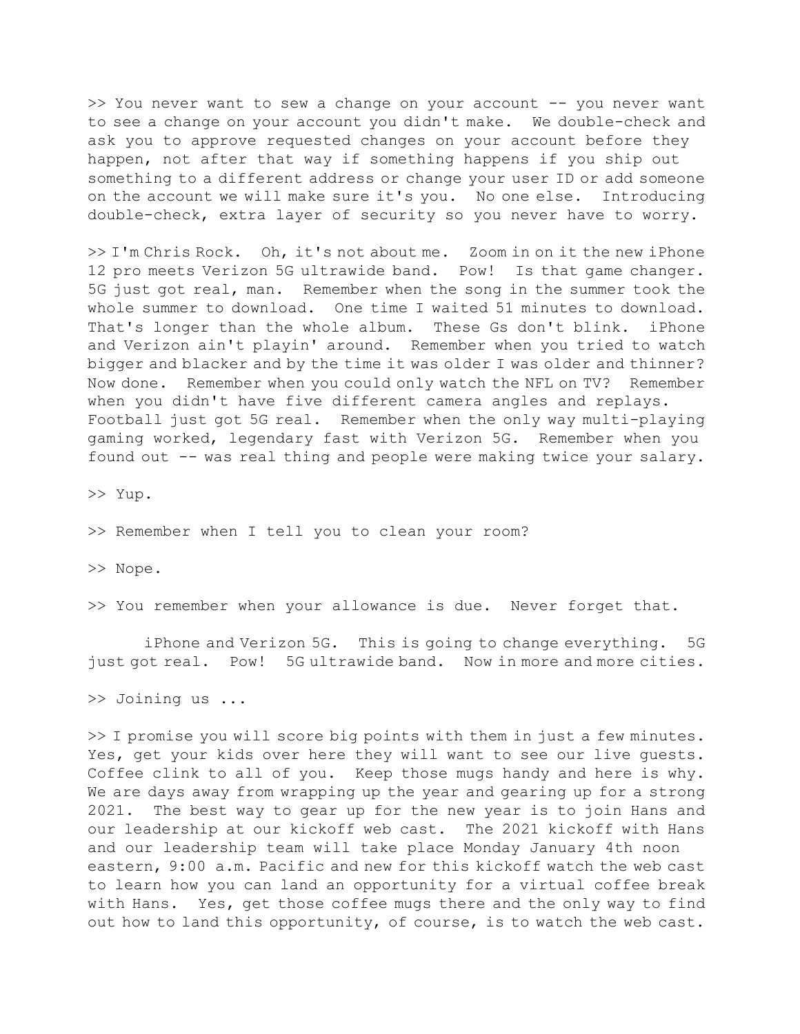>> You never want to sew a change on your account -- you never want to see a change on your account you didn't make. We double-check and ask you to approve requested changes on your account before they happen, not after that way if something happens if you ship out something to a different address or change your user ID or add someone on the account we will make sure it's you. No one else. Introducing double-check, extra layer of security so you never have to worry.

>> I'm Chris Rock. Oh, it's not about me. Zoom in on it the new iPhone 12 pro meets Verizon 5G ultrawide band. Pow! Is that game changer. 5G just got real, man. Remember when the song in the summer took the whole summer to download. One time I waited 51 minutes to download. That's longer than the whole album. These Gs don't blink. iPhone and Verizon ain't playin' around. Remember when you tried to watch bigger and blacker and by the time it was older I was older and thinner? Now done. Remember when you could only watch the NFL on TV? Remember when you didn't have five different camera angles and replays. Football just got 5G real. Remember when the only way multi-playing gaming worked, legendary fast with Verizon 5G. Remember when you found out -- was real thing and people were making twice your salary.

>> Yup.

>> Remember when I tell you to clean your room?

>> Nope.

>> You remember when your allowance is due. Never forget that.

 iPhone and Verizon 5G. This is going to change everything. 5G just got real. Pow! 5G ultrawide band. Now in more and more cities.

>> Joining us ...

>> I promise you will score big points with them in just a few minutes. Yes, get your kids over here they will want to see our live guests. Coffee clink to all of you. Keep those mugs handy and here is why. We are days away from wrapping up the year and gearing up for a strong 2021. The best way to gear up for the new year is to join Hans and our leadership at our kickoff web cast. The 2021 kickoff with Hans and our leadership team will take place Monday January 4th noon eastern, 9:00 a.m. Pacific and new for this kickoff watch the web cast to learn how you can land an opportunity for a virtual coffee break with Hans. Yes, get those coffee mugs there and the only way to find out how to land this opportunity, of course, is to watch the web cast.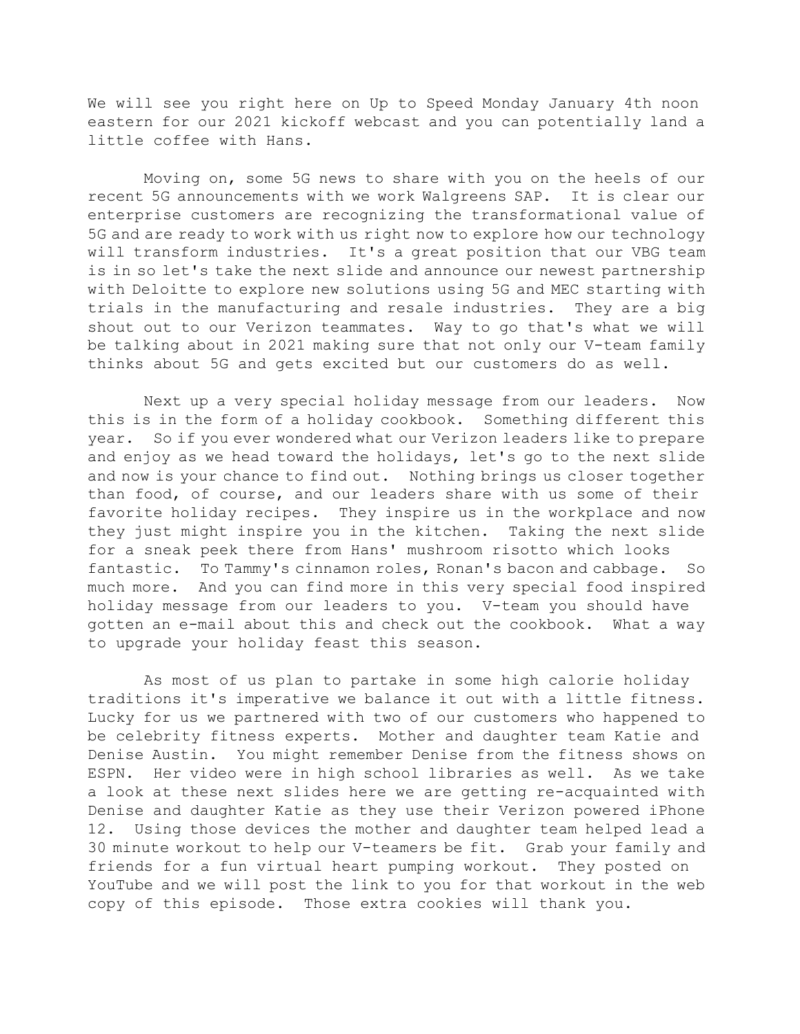We will see you right here on Up to Speed Monday January 4th noon eastern for our 2021 kickoff webcast and you can potentially land a little coffee with Hans.

 Moving on, some 5G news to share with you on the heels of our recent 5G announcements with we work Walgreens SAP. It is clear our enterprise customers are recognizing the transformational value of 5G and are ready to work with us right now to explore how our technology will transform industries. It's a great position that our VBG team is in so let's take the next slide and announce our newest partnership with Deloitte to explore new solutions using 5G and MEC starting with trials in the manufacturing and resale industries. They are a big shout out to our Verizon teammates. Way to go that's what we will be talking about in 2021 making sure that not only our V-team family thinks about 5G and gets excited but our customers do as well.

 Next up a very special holiday message from our leaders. Now this is in the form of a holiday cookbook. Something different this year. So if you ever wondered what our Verizon leaders like to prepare and enjoy as we head toward the holidays, let's go to the next slide and now is your chance to find out. Nothing brings us closer together than food, of course, and our leaders share with us some of their favorite holiday recipes. They inspire us in the workplace and now they just might inspire you in the kitchen. Taking the next slide for a sneak peek there from Hans' mushroom risotto which looks fantastic. To Tammy's cinnamon roles, Ronan's bacon and cabbage. So much more. And you can find more in this very special food inspired holiday message from our leaders to you. V-team you should have gotten an e-mail about this and check out the cookbook. What a way to upgrade your holiday feast this season.

 As most of us plan to partake in some high calorie holiday traditions it's imperative we balance it out with a little fitness. Lucky for us we partnered with two of our customers who happened to be celebrity fitness experts. Mother and daughter team Katie and Denise Austin. You might remember Denise from the fitness shows on ESPN. Her video were in high school libraries as well. As we take a look at these next slides here we are getting re-acquainted with Denise and daughter Katie as they use their Verizon powered iPhone 12. Using those devices the mother and daughter team helped lead a 30 minute workout to help our V-teamers be fit. Grab your family and friends for a fun virtual heart pumping workout. They posted on YouTube and we will post the link to you for that workout in the web copy of this episode. Those extra cookies will thank you.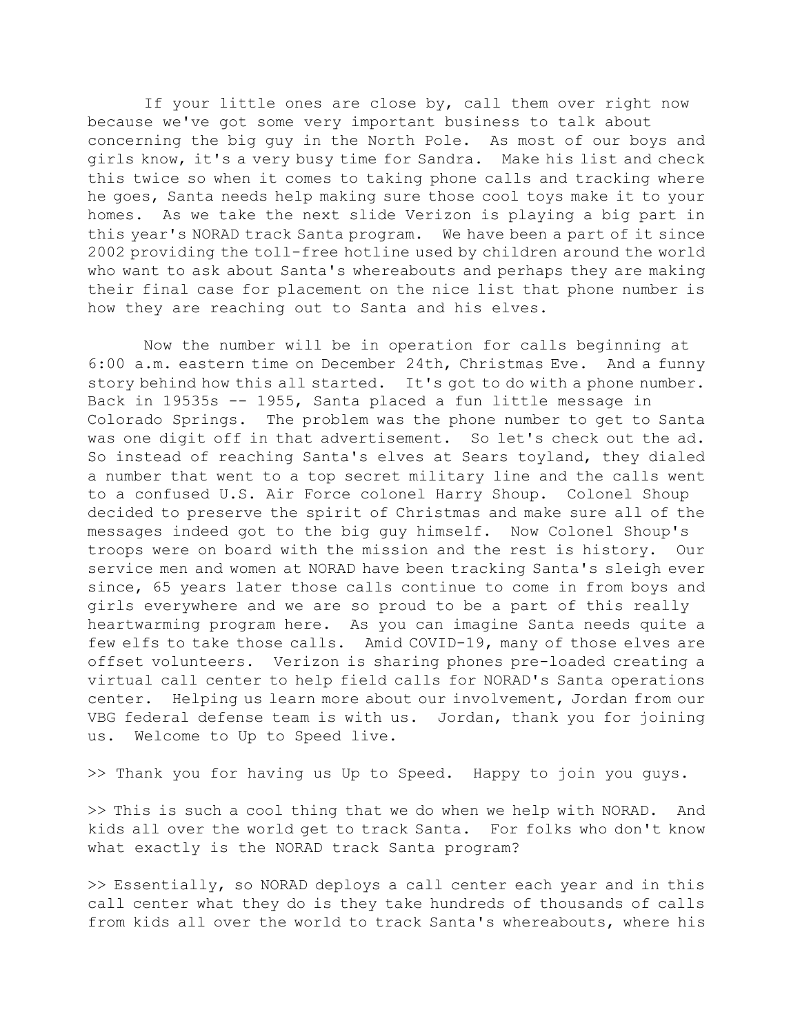If your little ones are close by, call them over right now because we've got some very important business to talk about concerning the big guy in the North Pole. As most of our boys and girls know, it's a very busy time for Sandra. Make his list and check this twice so when it comes to taking phone calls and tracking where he goes, Santa needs help making sure those cool toys make it to your homes. As we take the next slide Verizon is playing a big part in this year's NORAD track Santa program. We have been a part of it since 2002 providing the toll-free hotline used by children around the world who want to ask about Santa's whereabouts and perhaps they are making their final case for placement on the nice list that phone number is how they are reaching out to Santa and his elves.

 Now the number will be in operation for calls beginning at 6:00 a.m. eastern time on December 24th, Christmas Eve. And a funny story behind how this all started. It's got to do with a phone number. Back in 19535s -- 1955, Santa placed a fun little message in Colorado Springs. The problem was the phone number to get to Santa was one digit off in that advertisement. So let's check out the ad. So instead of reaching Santa's elves at Sears toyland, they dialed a number that went to a top secret military line and the calls went to a confused U.S. Air Force colonel Harry Shoup. Colonel Shoup decided to preserve the spirit of Christmas and make sure all of the messages indeed got to the big guy himself. Now Colonel Shoup's troops were on board with the mission and the rest is history. Our service men and women at NORAD have been tracking Santa's sleigh ever since, 65 years later those calls continue to come in from boys and girls everywhere and we are so proud to be a part of this really heartwarming program here. As you can imagine Santa needs quite a few elfs to take those calls. Amid COVID-19, many of those elves are offset volunteers. Verizon is sharing phones pre-loaded creating a virtual call center to help field calls for NORAD's Santa operations center. Helping us learn more about our involvement, Jordan from our VBG federal defense team is with us. Jordan, thank you for joining us. Welcome to Up to Speed live.

>> Thank you for having us Up to Speed. Happy to join you guys.

>> This is such a cool thing that we do when we help with NORAD. And kids all over the world get to track Santa. For folks who don't know what exactly is the NORAD track Santa program?

>> Essentially, so NORAD deploys a call center each year and in this call center what they do is they take hundreds of thousands of calls from kids all over the world to track Santa's whereabouts, where his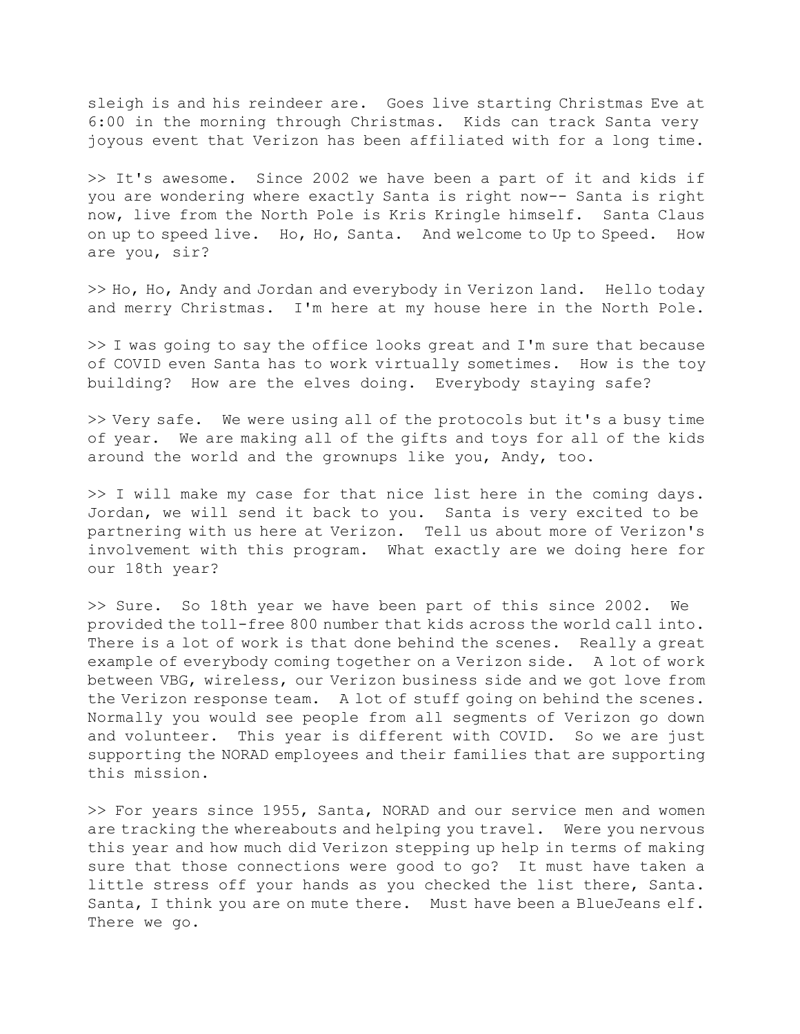sleigh is and his reindeer are. Goes live starting Christmas Eve at 6:00 in the morning through Christmas. Kids can track Santa very joyous event that Verizon has been affiliated with for a long time.

>> It's awesome. Since 2002 we have been a part of it and kids if you are wondering where exactly Santa is right now-- Santa is right now, live from the North Pole is Kris Kringle himself. Santa Claus on up to speed live. Ho, Ho, Santa. And welcome to Up to Speed. How are you, sir?

>> Ho, Ho, Andy and Jordan and everybody in Verizon land. Hello today and merry Christmas. I'm here at my house here in the North Pole.

>> I was going to say the office looks great and I'm sure that because of COVID even Santa has to work virtually sometimes. How is the toy building? How are the elves doing. Everybody staying safe?

>> Very safe. We were using all of the protocols but it's a busy time of year. We are making all of the gifts and toys for all of the kids around the world and the grownups like you, Andy, too.

>> I will make my case for that nice list here in the coming days. Jordan, we will send it back to you. Santa is very excited to be partnering with us here at Verizon. Tell us about more of Verizon's involvement with this program. What exactly are we doing here for our 18th year?

>> Sure. So 18th year we have been part of this since 2002. We provided the toll-free 800 number that kids across the world call into. There is a lot of work is that done behind the scenes. Really a great example of everybody coming together on a Verizon side. A lot of work between VBG, wireless, our Verizon business side and we got love from the Verizon response team. A lot of stuff going on behind the scenes. Normally you would see people from all segments of Verizon go down and volunteer. This year is different with COVID. So we are just supporting the NORAD employees and their families that are supporting this mission.

>> For years since 1955, Santa, NORAD and our service men and women are tracking the whereabouts and helping you travel. Were you nervous this year and how much did Verizon stepping up help in terms of making sure that those connections were good to go? It must have taken a little stress off your hands as you checked the list there, Santa. Santa, I think you are on mute there. Must have been a BlueJeans elf. There we go.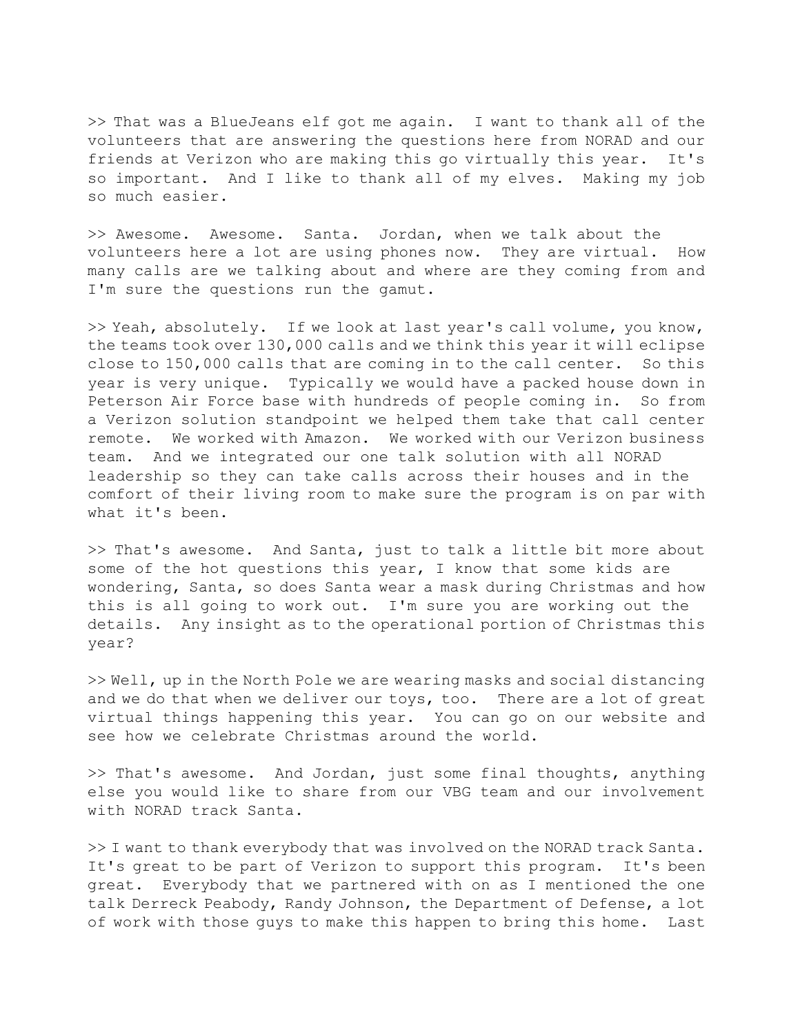>> That was a BlueJeans elf got me again. I want to thank all of the volunteers that are answering the questions here from NORAD and our friends at Verizon who are making this go virtually this year. It's so important. And I like to thank all of my elves. Making my job so much easier.

>> Awesome. Awesome. Santa. Jordan, when we talk about the volunteers here a lot are using phones now. They are virtual. How many calls are we talking about and where are they coming from and I'm sure the questions run the gamut.

>> Yeah, absolutely. If we look at last year's call volume, you know, the teams took over 130,000 calls and we think this year it will eclipse close to 150,000 calls that are coming in to the call center. So this year is very unique. Typically we would have a packed house down in Peterson Air Force base with hundreds of people coming in. So from a Verizon solution standpoint we helped them take that call center remote. We worked with Amazon. We worked with our Verizon business team. And we integrated our one talk solution with all NORAD leadership so they can take calls across their houses and in the comfort of their living room to make sure the program is on par with what it's been.

>> That's awesome. And Santa, just to talk a little bit more about some of the hot questions this year, I know that some kids are wondering, Santa, so does Santa wear a mask during Christmas and how this is all going to work out. I'm sure you are working out the details. Any insight as to the operational portion of Christmas this year?

>> Well, up in the North Pole we are wearing masks and social distancing and we do that when we deliver our toys, too. There are a lot of great virtual things happening this year. You can go on our website and see how we celebrate Christmas around the world.

>> That's awesome. And Jordan, just some final thoughts, anything else you would like to share from our VBG team and our involvement with NORAD track Santa.

>> I want to thank everybody that was involved on the NORAD track Santa. It's great to be part of Verizon to support this program. It's been great. Everybody that we partnered with on as I mentioned the one talk Derreck Peabody, Randy Johnson, the Department of Defense, a lot of work with those guys to make this happen to bring this home. Last